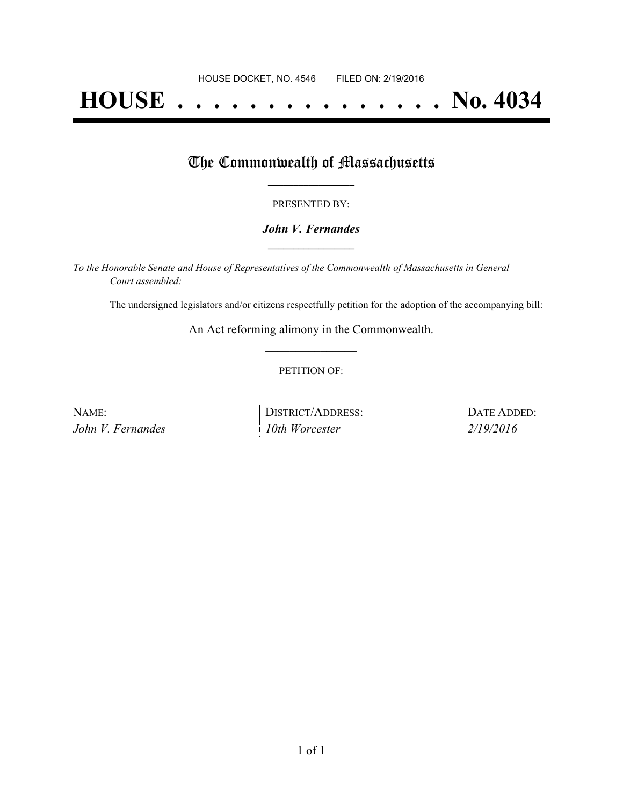# **HOUSE . . . . . . . . . . . . . . . No. 4034**

## The Commonwealth of Massachusetts

#### PRESENTED BY:

### *John V. Fernandes* **\_\_\_\_\_\_\_\_\_\_\_\_\_\_\_\_\_**

*To the Honorable Senate and House of Representatives of the Commonwealth of Massachusetts in General Court assembled:*

The undersigned legislators and/or citizens respectfully petition for the adoption of the accompanying bill:

An Act reforming alimony in the Commonwealth. **\_\_\_\_\_\_\_\_\_\_\_\_\_\_\_**

#### PETITION OF:

| NAME:             | DISTRICT/ADDRESS: | DATE ADDED: |
|-------------------|-------------------|-------------|
| John V. Fernandes | $10$ th Worcester | 2/19/2016   |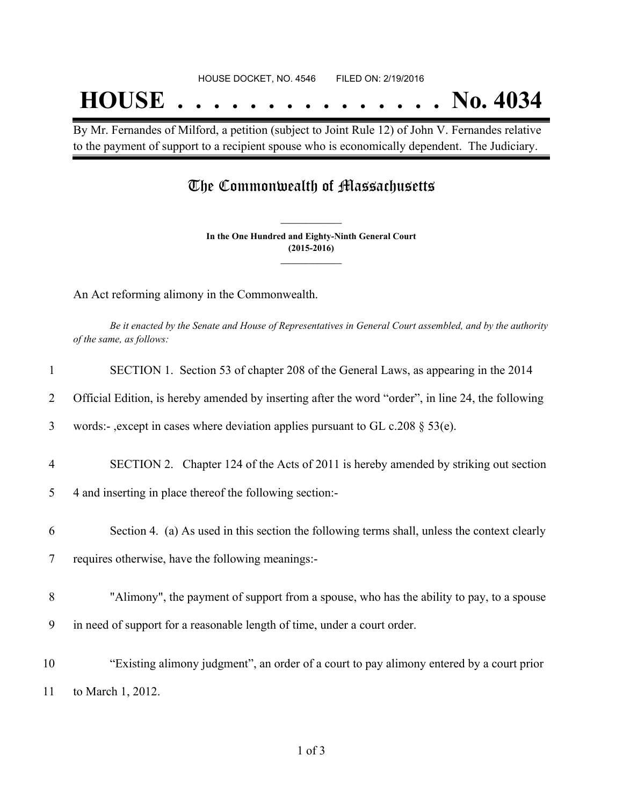By Mr. Fernandes of Milford, a petition (subject to Joint Rule 12) of John V. Fernandes relative to the payment of support to a recipient spouse who is economically dependent. The Judiciary.

## The Commonwealth of Massachusetts

**In the One Hundred and Eighty-Ninth General Court (2015-2016) \_\_\_\_\_\_\_\_\_\_\_\_\_\_\_**

**\_\_\_\_\_\_\_\_\_\_\_\_\_\_\_**

An Act reforming alimony in the Commonwealth.

Be it enacted by the Senate and House of Representatives in General Court assembled, and by the authority *of the same, as follows:*

| $\mathbf{1}$   | SECTION 1. Section 53 of chapter 208 of the General Laws, as appearing in the 2014                 |
|----------------|----------------------------------------------------------------------------------------------------|
| 2              | Official Edition, is hereby amended by inserting after the word "order", in line 24, the following |
| 3              | words:-, except in cases where deviation applies pursuant to GL c.208 $\S$ 53(e).                  |
| $\overline{4}$ | SECTION 2. Chapter 124 of the Acts of 2011 is hereby amended by striking out section               |
| 5              | 4 and inserting in place thereof the following section:-                                           |
| 6              | Section 4. (a) As used in this section the following terms shall, unless the context clearly       |
| $\tau$         | requires otherwise, have the following meanings:-                                                  |
| 8              | "Alimony", the payment of support from a spouse, who has the ability to pay, to a spouse           |
| 9              | in need of support for a reasonable length of time, under a court order.                           |
| 10             | "Existing alimony judgment", an order of a court to pay alimony entered by a court prior           |
| 11             | to March 1, 2012.                                                                                  |
|                |                                                                                                    |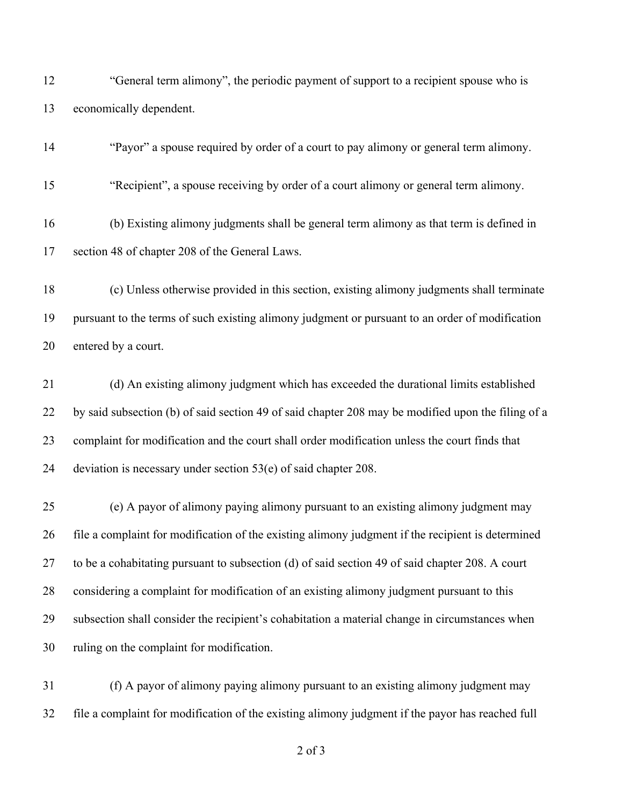| 12 | "General term alimony", the periodic payment of support to a recipient spouse who is               |
|----|----------------------------------------------------------------------------------------------------|
| 13 | economically dependent.                                                                            |
| 14 | "Payor" a spouse required by order of a court to pay alimony or general term alimony.              |
| 15 | "Recipient", a spouse receiving by order of a court alimony or general term alimony.               |
| 16 | (b) Existing alimony judgments shall be general term alimony as that term is defined in            |
| 17 | section 48 of chapter 208 of the General Laws.                                                     |
| 18 | (c) Unless otherwise provided in this section, existing alimony judgments shall terminate          |
| 19 | pursuant to the terms of such existing alimony judgment or pursuant to an order of modification    |
| 20 | entered by a court.                                                                                |
| 21 | (d) An existing alimony judgment which has exceeded the durational limits established              |
| 22 | by said subsection (b) of said section 49 of said chapter 208 may be modified upon the filing of a |
| 23 | complaint for modification and the court shall order modification unless the court finds that      |
| 24 | deviation is necessary under section $53(e)$ of said chapter 208.                                  |
| 25 | (e) A payor of alimony paying alimony pursuant to an existing alimony judgment may                 |
| 26 | file a complaint for modification of the existing alimony judgment if the recipient is determined  |
| 27 | to be a cohabitating pursuant to subsection (d) of said section 49 of said chapter 208. A court    |
| 28 | considering a complaint for modification of an existing alimony judgment pursuant to this          |
| 29 | subsection shall consider the recipient's cohabitation a material change in circumstances when     |
| 30 | ruling on the complaint for modification.                                                          |
| 31 | (f) A payor of alimony paying alimony pursuant to an existing alimony judgment may                 |
| 32 | file a complaint for modification of the existing alimony judgment if the payor has reached full   |

of 3